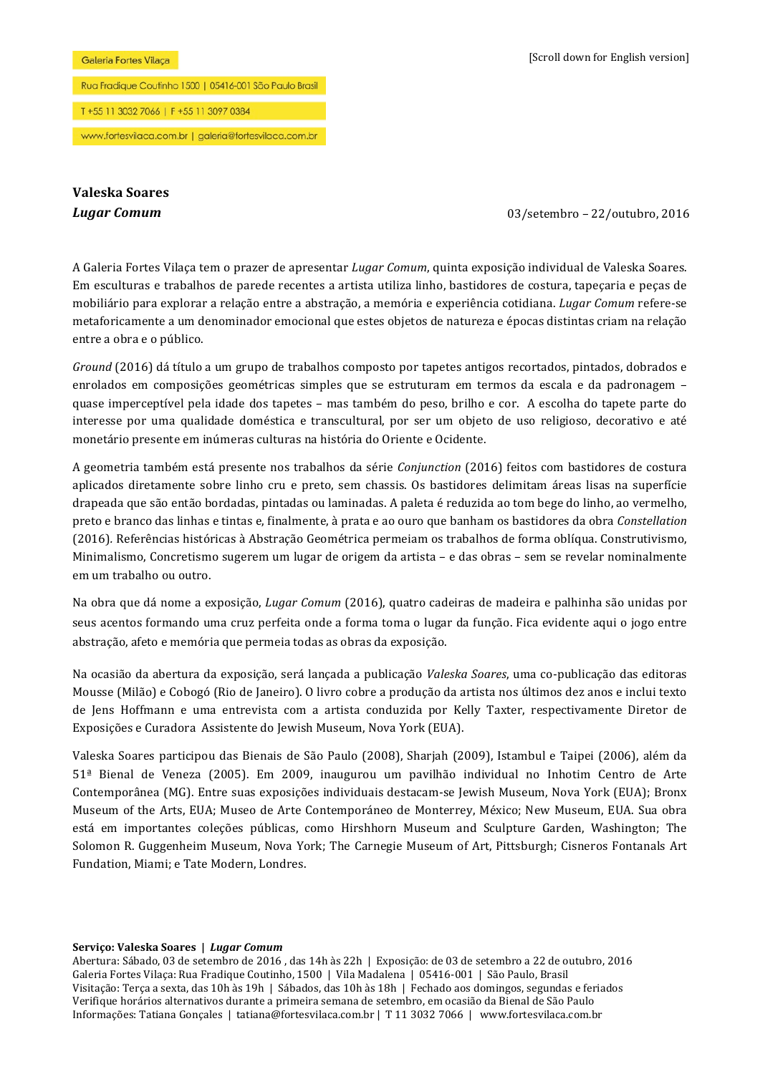### Galeria Fortes Vilaça Rua Fradique Coutinho 1500 | 05416-001 São Paulo Brasil T+55 11 3032 7066 | F+55 11 3097 0384

www.fortesvilaca.com.br | galeria@fortesvilaca.com.br

# **Valeska Soares**

*Lugar Comum* 03/setembro – 22/outubro, 2016

A Galeria Fortes Vilaça tem o prazer de apresentar *Lugar Comum*, quinta exposição individual de Valeska Soares. Em esculturas e trabalhos de parede recentes a artista utiliza linho, bastidores de costura, tapeçaria e peças de mobiliário para explorar a relação entre a abstração, a memória e experiência cotidiana. *Lugar Comum* refere-se metaforicamente a um denominador emocional que estes objetos de natureza e épocas distintas criam na relação entre a obra e o público.

*Ground* (2016) dá título a um grupo de trabalhos composto por tapetes antigos recortados, pintados, dobrados e enrolados em composições geométricas simples que se estruturam em termos da escala e da padronagem – quase imperceptível pela idade dos tapetes – mas também do peso, brilho e cor. A escolha do tapete parte do interesse por uma qualidade doméstica e transcultural, por ser um objeto de uso religioso, decorativo e até monetário presente em inúmeras culturas na história do Oriente e Ocidente.

A geometria também está presente nos trabalhos da série *Conjunction* (2016) feitos com bastidores de costura aplicados diretamente sobre linho cru e preto, sem chassis. Os bastidores delimitam áreas lisas na superfície drapeada que são então bordadas, pintadas ou laminadas. A paleta é reduzida ao tom bege do linho, ao vermelho, preto e branco das linhas e tintas e, finalmente, à prata e ao ouro que banham os bastidores da obra Constellation (2016)*.* Referências históricas à Abstração Geométrica permeiam os trabalhos de forma oblíqua. Construtivismo, Minimalismo, Concretismo sugerem um lugar de origem da artista – e das obras – sem se revelar nominalmente em um trabalho ou outro.

Na obra que dá nome a exposição, *Lugar Comum* (2016), quatro cadeiras de madeira e palhinha são unidas por seus acentos formando uma cruz perfeita onde a forma toma o lugar da função. Fica evidente aqui o jogo entre abstração, afeto e memória que permeia todas as obras da exposição.

Na ocasião da abertura da exposição, será lançada a publicação *Valeska Soares*, uma co-publicação das editoras Mousse (Milão) e Cobogó (Rio de Janeiro). O livro cobre a produção da artista nos últimos dez anos e inclui texto de Jens Hoffmann e uma entrevista com a artista conduzida por Kelly Taxter, respectivamente Diretor de Exposições e Curadora Assistente do Jewish Museum, Nova York (EUA).

Valeska Soares participou das Bienais de São Paulo (2008), Sharjah (2009), Istambul e Taipei (2006), além da 51<sup>ª</sup> Bienal de Veneza (2005). Em 2009, inaugurou um pavilhão individual no Inhotim Centro de Arte Contemporânea (MG). Entre suas exposições individuais destacam-se Jewish Museum, Nova York (EUA); Bronx Museum of the Arts, EUA; Museo de Arte Contemporáneo de Monterrey, México; New Museum, EUA. Sua obra está em importantes coleções públicas, como Hirshhorn Museum and Sculpture Garden, Washington; The Solomon R. Guggenheim Museum, Nova York; The Carnegie Museum of Art, Pittsburgh; Cisneros Fontanals Art Fundation, Miami; e Tate Modern, Londres.

#### **Serviço: Valeska Soares | Lugar Comum**

Abertura: Sábado, 03 de setembro de 2016, das 14h às 22h | Exposição: de 03 de setembro a 22 de outubro, 2016 Galeria Fortes Vilaça: Rua Fradique Coutinho, 1500 | Vila Madalena | 05416-001 | São Paulo, Brasil Visitação: Terça a sexta, das 10h às 19h | Sábados, das 10h às 18h | Fechado aos domingos, segundas e feriados Verifique horários alternativos durante a primeira semana de setembro, em ocasião da Bienal de São Paulo Informações: Tatiana Gonçales | tatiana@fortesvilaca.com.br | T 11 3032 7066 | www.fortesvilaca.com.br